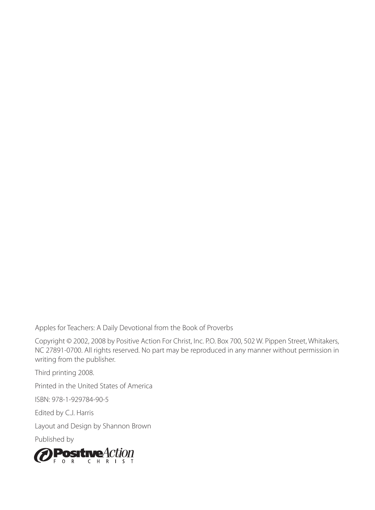Apples for Teachers: A Daily Devotional from the Book of Proverbs

Copyright © 2002, 2008 by Positive Action For Christ, Inc. P.O. Box 700, 502 W. Pippen Street, Whitakers, NC 27891-0700. All rights reserved. No part may be reproduced in any manner without permission in writing from the publisher.

Third printing 2008.

Printed in the United States of America

ISBN: 978-1-929784-90-5

Edited by C.J. Harris

Layout and Design by Shannon Brown

Published by

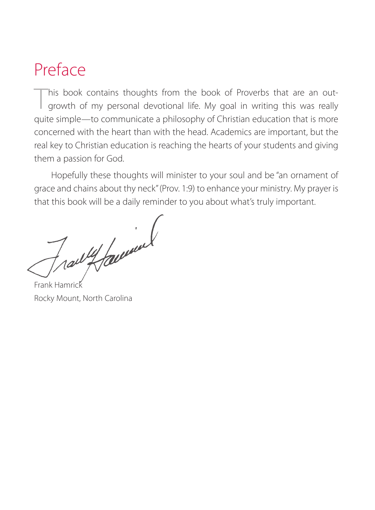# Preface

This book contains thoughts from the book of Proverbs that are an outgrowth of my personal devotional life. My goal in writing this was really quite simple—to communicate a philosophy of Christian education that is more concerned with the heart than with the head. Academics are important, but the real key to Christian education is reaching the hearts of your students and giving them a passion for God.

Hopefully these thoughts will minister to your soul and be "an ornament of grace and chains about thy neck" (Prov. 1:9) to enhance your ministry. My prayer is that this book will be a daily reminder to you about what's truly important.

Tradit family

Frank Hamrick Rocky Mount, North Carolina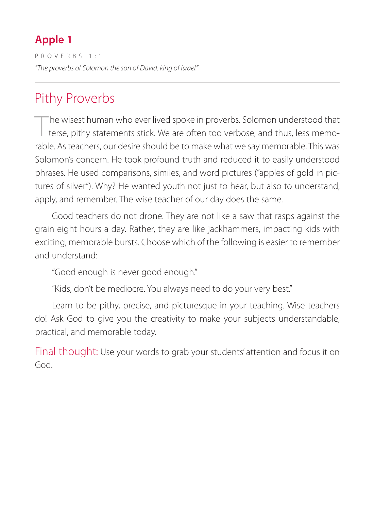PROVERBS 1:1 *"The proverbs of Solomon the son of David, king of Israel."* 

# Pithy Proverbs

The wisest human who ever lived spoke in proverbs. Solomon understood that terse, pithy statements stick. We are often too verbose, and thus, less memorable. As teachers, our desire should be to make what we say memorable. This was Solomon's concern. He took profound truth and reduced it to easily understood phrases. He used comparisons, similes, and word pictures ("apples of gold in pictures of silver"). Why? He wanted youth not just to hear, but also to understand, apply, and remember. The wise teacher of our day does the same.

Good teachers do not drone. They are not like a saw that rasps against the grain eight hours a day. Rather, they are like jackhammers, impacting kids with exciting, memorable bursts. Choose which of the following is easier to remember and understand:

"Good enough is never good enough."

"Kids, don't be mediocre. You always need to do your very best."

Learn to be pithy, precise, and picturesque in your teaching. Wise teachers do! Ask God to give you the creativity to make your subjects understandable, practical, and memorable today.

Final thought: Use your words to grab your students' attention and focus it on God.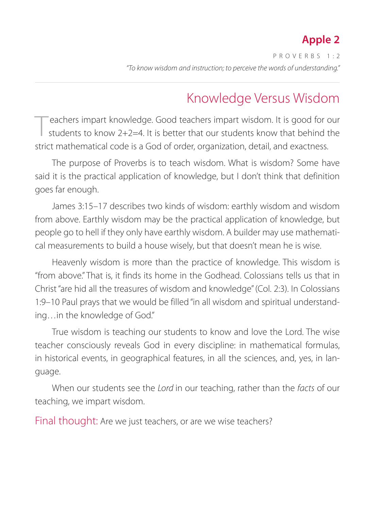PROVERBS 1:2 *"To know wisdom and instruction; to perceive the words of understanding."*

# Knowledge Versus Wisdom

eachers impart knowledge. Good teachers impart wisdom. It is good for our students to know  $2+2=4$ . It is better that our students know that behind the strict mathematical code is a God of order, organization, detail, and exactness.

The purpose of Proverbs is to teach wisdom. What is wisdom? Some have said it is the practical application of knowledge, but I don't think that definition goes far enough.

James 3:15–17 describes two kinds of wisdom: earthly wisdom and wisdom from above. Earthly wisdom may be the practical application of knowledge, but people go to hell if they only have earthly wisdom. A builder may use mathematical measurements to build a house wisely, but that doesn't mean he is wise.

Heavenly wisdom is more than the practice of knowledge. This wisdom is "from above." That is, it finds its home in the Godhead. Colossians tells us that in Christ "are hid all the treasures of wisdom and knowledge" (Col. 2:3). In Colossians 1:9–10 Paul prays that we would be filled "in all wisdom and spiritual understanding…in the knowledge of God."

True wisdom is teaching our students to know and love the Lord. The wise teacher consciously reveals God in every discipline: in mathematical formulas, in historical events, in geographical features, in all the sciences, and, yes, in language.

When our students see the *Lord* in our teaching, rather than the *facts* of our teaching, we impart wisdom.

Final thought: Are we just teachers, or are we wise teachers?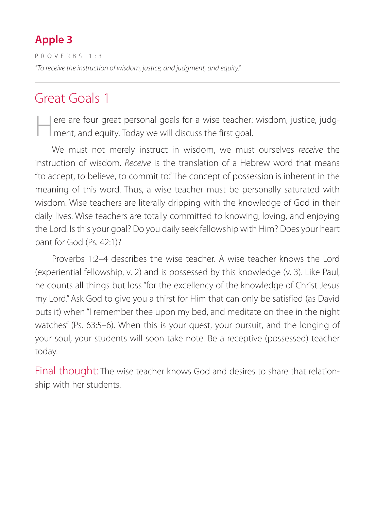PROVERBS 1:3 *"To receive the instruction of wisdom, justice, and judgment, and equity."*

### Great Goals 1

ere are four great personal goals for a wise teacher: wisdom, justice, judgment, and equity. Today we will discuss the first goal.

We must not merely instruct in wisdom, we must ourselves *receive* the instruction of wisdom. *Receive* is the translation of a Hebrew word that means "to accept, to believe, to commit to." The concept of possession is inherent in the meaning of this word. Thus, a wise teacher must be personally saturated with wisdom. Wise teachers are literally dripping with the knowledge of God in their daily lives. Wise teachers are totally committed to knowing, loving, and enjoying the Lord. Is this your goal? Do you daily seek fellowship with Him? Does your heart pant for God (Ps. 42:1)?

Proverbs 1:2–4 describes the wise teacher. A wise teacher knows the Lord (experiential fellowship, v. 2) and is possessed by this knowledge (v. 3). Like Paul, he counts all things but loss "for the excellency of the knowledge of Christ Jesus my Lord." Ask God to give you a thirst for Him that can only be satisfied (as David puts it) when "I remember thee upon my bed, and meditate on thee in the night watches" (Ps. 63:5–6). When this is your quest, your pursuit, and the longing of your soul, your students will soon take note. Be a receptive (possessed) teacher today.

Final thought: The wise teacher knows God and desires to share that relationship with her students.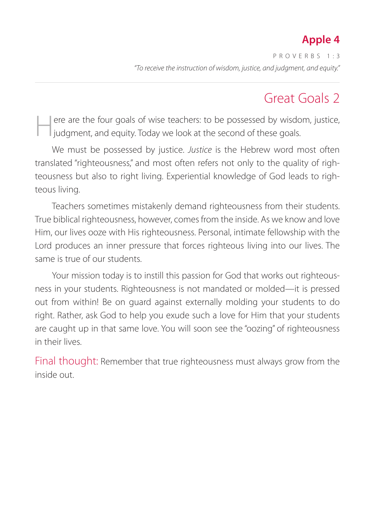PROVERBS 1:3 *"To receive the instruction of wisdom, justice, and judgment, and equity."* 

# Great Goals 2

Here are the four goals of wise teachers: to be possessed by wisdom, justice, judgment, and equity. Today we look at the second of these goals.

We must be possessed by justice. *Justice* is the Hebrew word most often translated "righteousness," and most often refers not only to the quality of righteousness but also to right living. Experiential knowledge of God leads to righteous living.

Teachers sometimes mistakenly demand righteousness from their students. True biblical righteousness, however, comes from the inside. As we know and love Him, our lives ooze with His righteousness. Personal, intimate fellowship with the Lord produces an inner pressure that forces righteous living into our lives. The same is true of our students.

Your mission today is to instill this passion for God that works out righteousness in your students. Righteousness is not mandated or molded—it is pressed out from within! Be on guard against externally molding your students to do right. Rather, ask God to help you exude such a love for Him that your students are caught up in that same love. You will soon see the "oozing" of righteousness in their lives.

Final thought: Remember that true righteousness must always grow from the inside out.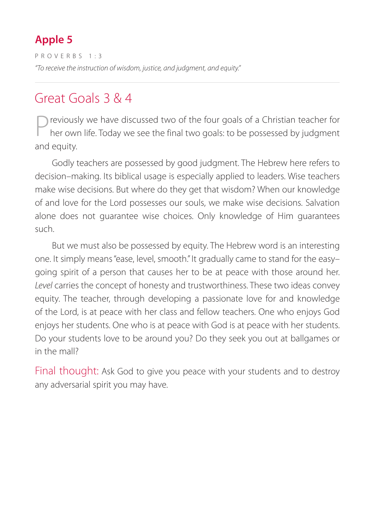PROVERBS 1:3 *"To receive the instruction of wisdom, justice, and judgment, and equity."*

### Great Goals 3 & 4

reviously we have discussed two of the four goals of a Christian teacher for her own life. Today we see the final two goals: to be possessed by judgment and equity.

Godly teachers are possessed by good judgment. The Hebrew here refers to decision–making. Its biblical usage is especially applied to leaders. Wise teachers make wise decisions. But where do they get that wisdom? When our knowledge of and love for the Lord possesses our souls, we make wise decisions. Salvation alone does not guarantee wise choices. Only knowledge of Him guarantees such.

But we must also be possessed by equity. The Hebrew word is an interesting one. It simply means "ease, level, smooth." It gradually came to stand for the easy– going spirit of a person that causes her to be at peace with those around her. *Level* carries the concept of honesty and trustworthiness. These two ideas convey equity. The teacher, through developing a passionate love for and knowledge of the Lord, is at peace with her class and fellow teachers. One who enjoys God enjoys her students. One who is at peace with God is at peace with her students. Do your students love to be around you? Do they seek you out at ballgames or in the mall?

Final thought: Ask God to give you peace with your students and to destroy any adversarial spirit you may have.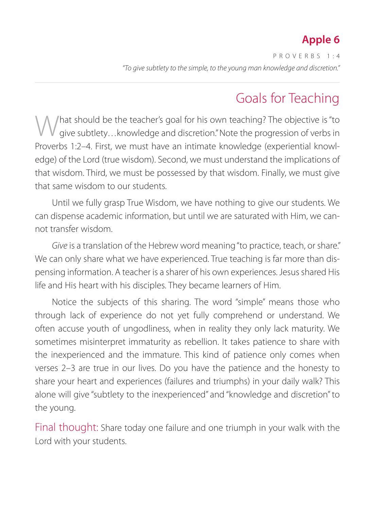PROVERBS 1:4 *"To give subtlety to the simple, to the young man knowledge and discretion."*

### Goals for Teaching

What should be the teacher's goal for his own teaching? The objective is "to give subtlety... knowledge and discretion." Note the progression of verbs in Proverbs 1:2–4. First, we must have an intimate knowledge (experiential knowledge) of the Lord (true wisdom). Second, we must understand the implications of that wisdom. Third, we must be possessed by that wisdom. Finally, we must give that same wisdom to our students.

Until we fully grasp True Wisdom, we have nothing to give our students. We can dispense academic information, but until we are saturated with Him, we cannot transfer wisdom.

*Give* is a translation of the Hebrew word meaning "to practice, teach, or share." We can only share what we have experienced. True teaching is far more than dispensing information. A teacher is a sharer of his own experiences. Jesus shared His life and His heart with his disciples. They became learners of Him.

Notice the subjects of this sharing. The word "simple" means those who through lack of experience do not yet fully comprehend or understand. We often accuse youth of ungodliness, when in reality they only lack maturity. We sometimes misinterpret immaturity as rebellion. It takes patience to share with the inexperienced and the immature. This kind of patience only comes when verses 2–3 are true in our lives. Do you have the patience and the honesty to share your heart and experiences (failures and triumphs) in your daily walk? This alone will give "subtlety to the inexperienced" and "knowledge and discretion" to the young.

Final thought: Share today one failure and one triumph in your walk with the Lord with your students.